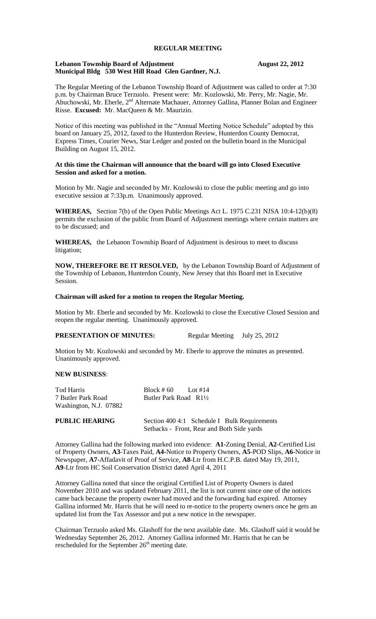# **REGULAR MEETING**

#### **Lebanon Township Board of Adjustment August 22, 2012 Municipal Bldg 530 West Hill Road Glen Gardner, N.J.**

The Regular Meeting of the Lebanon Township Board of Adjustment was called to order at 7:30 p.m. by Chairman Bruce Terzuolo. Present were: Mr. Kozlowski, Mr. Perry, Mr. Nagie, Mr. Abuchowski, Mr. Eberle, 2<sup>nd</sup> Alternate Machauer, Attorney Gallina, Planner Bolan and Engineer Risse. **Excused:** Mr. MacQueen & Mr. Maurizio.

Notice of this meeting was published in the "Annual Meeting Notice Schedule" adopted by this board on January 25, 2012, faxed to the Hunterdon Review, Hunterdon County Democrat, Express Times, Courier News, Star Ledger and posted on the bulletin board in the Municipal Building on August 15, 2012.

## **At this time the Chairman will announce that the board will go into Closed Executive Session and asked for a motion.**

Motion by Mr. Nagie and seconded by Mr. Kozlowski to close the public meeting and go into executive session at 7:33p.m. Unanimously approved.

**WHEREAS,** Section 7(b) of the Open Public Meetings Act L. 1975 C.231 NJSA 10:4-12(b)(8) permits the exclusion of the public from Board of Adjustment meetings where certain matters are to be discussed; and

**WHEREAS,** the Lebanon Township Board of Adjustment is desirous to meet to discuss litigation;

**NOW, THEREFORE BE IT RESOLVED,** by the Lebanon Township Board of Adjustment of the Township of Lebanon, Hunterdon County, New Jersey that this Board met in Executive Session.

## **Chairman will asked for a motion to reopen the Regular Meeting.**

Motion by Mr. Eberle and seconded by Mr. Kozlowski to close the Executive Closed Session and reopen the regular meeting. Unanimously approved.

## **PRESENTATION OF MINUTES:** Regular Meeting July 25, 2012

Motion by Mr. Kozlowski and seconded by Mr. Eberle to approve the minutes as presented. Unanimously approved.

#### **NEW BUSINESS**:

| Tod Harris<br>7 Butler Park Road<br>Washington, N.J. 07882 | Block # $60$ Lot #14<br>Butler Park Road $R1\frac{1}{2}$ |
|------------------------------------------------------------|----------------------------------------------------------|
| <b>PUBLIC HEARING</b>                                      | Section 400 4:1 Schedule I Bulk Requirements             |

Attorney Gallina had the following marked into evidence: **A1-**Zoning Denial, **A2**-Certified List of Property Owners, **A3**-Taxes Paid, **A4-**Notice to Property Owners, **A5**-POD Slips, **A6**-Notice in Newspaper, **A7**-Affadavit of Proof of Service, **A8**-Ltr from H.C.P.B. dated May 19, 2011, **A9**-Ltr from HC Soil Conservation District dated April 4, 2011

Setbacks - Front, Rear and Both Side yards

Attorney Gallina noted that since the original Certified List of Property Owners is dated November 2010 and was updated February 2011, the list is not current since one of the notices came back because the property owner had moved and the forwarding had expired. Attorney Gallina informed Mr. Harris that he will need to re-notice to the property owners once he gets an updated list from the Tax Assessor and put a new notice in the newspaper.

Chairman Terzuolo asked Ms. Glashoff for the next available date. Ms. Glashoff said it would be Wednesday September 26, 2012. Attorney Gallina informed Mr. Harris that he can be rescheduled for the September  $26<sup>th</sup>$  meeting date.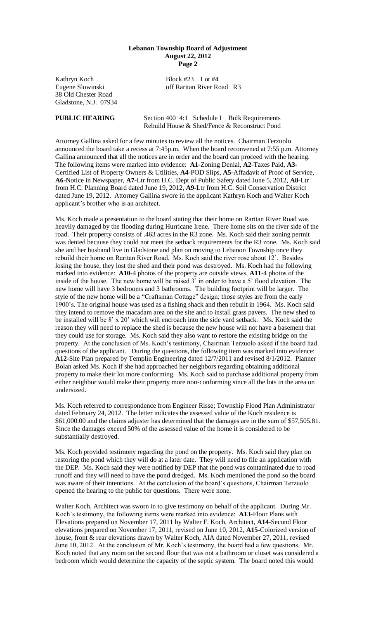#### **Lebanon Township Board of Adjustment August 22, 2012 Page 2**

Kathryn Koch Block #23 Lot #4 Eugene Slowinski off Raritan River Road R3 38 Old Chester Road Gladstone, N.J. 07934

**PUBLIC HEARING** Section 400 4:1 Schedule I Bulk Requirements Rebuild House & Shed/Fence & Reconstruct Pond

Attorney Gallina asked for a few minutes to review all the notices. Chairman Terzuolo announced the board take a recess at 7:45p.m. When the board reconvened at 7:55 p.m. Attorney Gallina announced that all the notices are in order and the board can proceed with the hearing. The following items were marked into evidence: **A1**-Zoning Denial, **A2**-Taxes Paid, **A3-** Certified List of Property Owners & Utilities, **A4**-POD Slips, **A5-**Affadavit of Proof of Service, **A6**-Notice in Newspaper, **A7-**Ltr from H.C. Dept of Public Safety dated June 5, 2012, **A8-**Ltr from H.C. Planning Board dated June 19, 2012, **A9**-Ltr from H.C. Soil Conservation District dated June 19, 2012. Attorney Gallina swore in the applicant Kathryn Koch and Walter Koch applicant's brother who is an architect.

Ms. Koch made a presentation to the board stating that their home on Raritan River Road was heavily damaged by the flooding during Hurricane Irene. There home sits on the river side of the road. Their property consists of .463 acres in the R3 zone. Ms. Koch said their zoning permit was denied because they could not meet the setback requirements for the R3 zone. Ms. Koch said she and her husband live in Gladstone and plan on moving to Lebanon Township once they rebuild their home on Raritan River Road. Ms. Koch said the river rose about 12'. Besides losing the house, they lost the shed and their pond was destroyed. Ms. Koch had the following marked into evidence: **A10-**4 photos of the property are outside views, **A11**-4 photos of the inside of the house. The new home will be raised 3' in order to have a 5' flood elevation. The new home will have 3 bedrooms and 3 bathrooms. The building footprint will be larger. The style of the new home will be a "Craftsman Cottage" design; those styles are from the early 1900's. The original house was used as a fishing shack and then rebuilt in 1964. Ms. Koch said they intend to remove the macadam area on the site and to install grass pavers. The new shed to be installed will be 8' x 20' which will encroach into the side yard setback. Ms. Koch said the reason they will need to replace the shed is because the new house will not have a basement that they could use for storage. Ms. Koch said they also want to restore the existing bridge on the property. At the conclusion of Ms. Koch's testimony, Chairman Terzuolo asked if the board had questions of the applicant. During the questions, the following item was marked into evidence: **A12-**Site Plan prepared by Templin Engineering dated 12/7/2011 and revised 8/1/2012. Planner Bolan asked Ms. Koch if she had approached her neighbors regarding obtaining additional property to make their lot more conforming. Ms. Koch said to purchase additional property from either neighbor would make their property more non-conforming since all the lots in the area on undersized.

Ms. Koch referred to correspondence from Engineer Risse; Township Flood Plan Administrator dated February 24, 2012. The letter indicates the assessed value of the Koch residence is \$61,000.00 and the claims adjuster has determined that the damages are in the sum of \$57,505.81. Since the damages exceed 50% of the assessed value of the home it is considered to be substantially destroyed.

Ms. Koch provided testimony regarding the pond on the property. Ms. Koch said they plan on restoring the pond which they will do at a later date. They will need to file an application with the DEP. Ms. Koch said they were notified by DEP that the pond was contaminated due to road runoff and they will need to have the pond dredged. Ms. Koch mentioned the pond so the board was aware of their intentions. At the conclusion of the board's questions, Chairman Terzuolo opened the hearing to the public for questions. There were none.

Walter Koch, Architect was sworn in to give testimony on behalf of the applicant. During Mr. Koch's testimony, the following items were marked into evidence: **A13-**Floor Plans with Elevations prepared on November 17, 2011 by Walter F. Koch, Architect, **A14**-Second Floor elevations prepared on November 17, 2011, revised on June 10, 2012, **A15**-Colorized version of house, front & rear elevations drawn by Walter Koch, AIA dated November 27, 2011, revised June 10, 2012. At the conclusion of Mr. Koch's testimony, the board had a few questions. Mr. Koch noted that any room on the second floor that was not a bathroom or closet was considered a bedroom which would determine the capacity of the septic system. The board noted this would